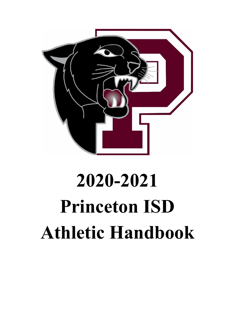

# **2020-2021 Princeton ISD Athletic Handbook**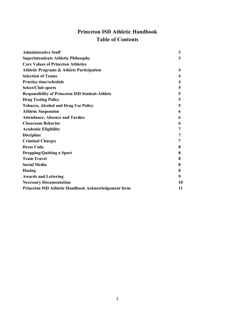## **Princeton ISD Athletic Handbook Table of Contents**

| <b>Administrative Staff</b>                            | 3  |
|--------------------------------------------------------|----|
| <b>Superintendents Athletic Philosophy</b>             | 3  |
| <b>Core Values of Princeton Athletics</b>              |    |
| <b>Athletic Programs &amp; Athlete Participation</b>   | 4  |
| <b>Selection of Teams</b>                              | 4  |
| <b>Practice time/schedule</b>                          | 4  |
| Select/Club sports                                     | 5  |
| <b>Responsibility of Princeton ISD Student-Athlete</b> | 5  |
| <b>Drug Testing Policy</b>                             | 5  |
| <b>Tobacco, Alcohol and Drug Use Policy</b>            | 5  |
| <b>Athletic Suspension</b>                             | 6  |
| <b>Attendance, Absence and Tardies</b>                 | 6  |
| <b>Classroom Behavior</b>                              | 6  |
| <b>Academic Eligibility</b>                            | 7  |
| <b>Discipline</b>                                      | 7  |
| <b>Criminal Charges</b>                                | 7  |
| <b>Dress Code</b>                                      | 8  |
| <b>Dropping/Quitting a Sport</b>                       | 8  |
| <b>Team Travel</b>                                     | 8  |
| <b>Social Media</b>                                    | 8  |
| <b>Hazing</b>                                          | 8  |
| <b>Awards and Lettering</b>                            | 9  |
| <b>Necessary Documentation</b>                         | 10 |
| Princeton ISD Athletic Handbook Acknowledgement form   | 11 |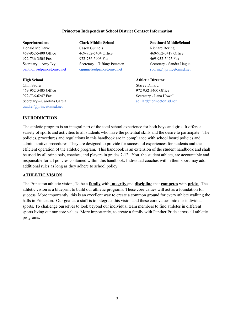#### **Princeton Independent School District Contact Information**

**Superintendent Clark Middle School Southard MiddleSchool** Donald McIntrye Casey Gunnels Richard Boring 469-952-5400 Office 469-952-5404 Office 469-952-5419 Office 972-736-3505 Fax 972-736-5903 Fax 469-952-5425 Fax Secretary – Amy Ivy Secretary – Tiffany Petersen Secretary - Sandra Hague [panthony@princetonisd.net](mailto:panthony@princetonisd.net) [cgunnels@princetonisd.net](mailto:cgunnels@princetonisd.net) [rboring@princetonisd.net](mailto:rboring@princetonisd.net)

**High School Athletic Director**

Clint Sadler Stacey Dillard 469-952-5405 Office 972-952-5400 Office 972-736-6247 Fax Secretary - Lana Howell Secretary – Carolina Garcia structure of the structure structure structure structure structure structure structure structure structure structure structure structure structure structure structure structure structure structu [csadler@princetonisd.net](mailto:csadler@princetonisd.net)

#### **INTRODUCTION**

The athletic program is an integral part of the total school experience for both boys and girls. It offers a variety of sports and activities to all students who have the potential skills and the desire to participate. The policies, procedures and regulations in this handbook are in compliance with school board policies and administrative procedures. They are designed to provide for successful experiences for students and the efficient operation of the athletic program. This handbook is an extension of the student handbook and shall be used by all principals, coaches, and players in grades 7-12. You, the student athlete, are accountable and responsible for all policies contained within this handbook. Individual coaches within their sport may add additional rules as long as they adhere to school policy.

#### **ATHLETIC VISION**

The Princeton athletic vision; To be a **family** with **integrity** and **discipline** that **competes** with **pride**. The athletic vision is a blueprint to build our athletic programs. These core values will act as a foundation for success. More importantly, this is an excellent way to create a common ground for every athlete walking the halls in Princeton. Our goal as a staff is to integrate this vision and these core values into our individual sports. To challenge ourselves to look beyond our individual team members to find athletes in different sports living out our core values. More importantly, to create a family with Panther Pride across all athletic programs.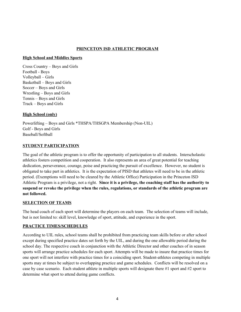#### **PRINCETON ISD ATHLETIC PROGRAM**

#### **High School and Middles Sports**

Cross Country – Boys and Girls Football - Boys Volleyball – Girls Basketball – Boys and Girls Soccer – Boys and Girls Wrestling – Boys and Girls Tennis – Boys and Girls Track – Boys and Girls

#### **High School (only)**

Powerlifting – Boys and Girls \*THSPA/THSGPA Membership (Non-UIL) Golf - Boys and Girls Baseball/Softball

#### **STUDENT PARTICIPATION**

The goal of the athletic program is to offer the opportunity of participation to all students. Interscholastic athletics fosters competition and cooperation. It also represents an area of great potential for teaching dedication, perseverance, courage, poise and practicing the pursuit of excellence. However, no student is obligated to take part in athletics. It is the expectation of PISD that athletes will need to be in the athletic period. (Exemptions will need to be cleared by the Athletic Office) Participation in the Princeton ISD Athletic Program is a privilege, not a right. **Since it is a privilege, the coaching staff has the authority to suspend or revoke the privilege when the rules, regulations, or standards of the athletic program are not followed.**

#### **SELECTION OF TEAMS**

The head coach of each sport will determine the players on each team. The selection of teams will include, but is not limited to: skill level, knowledge of sport, attitude, and experience in the sport.

#### **PRACTICE TIMES/SCHEDULES**

According to UIL rules, school teams shall be prohibited from practicing team skills before or after school except during specified practice dates set forth by the UIL, and during the one allowable period during the school day. The respective coach in conjunction with the Athletic Director and other coaches of in season sports will arrange practice schedules for each sport. Attempts will be made to insure that practice times for one sport will not interfere with practice times for a coinciding sport. Student-athletes competing in multiple sports may at times be subject to overlapping practice and game schedules. Conflicts will be resolved on a case by case scenario. Each student athlete in multiple sports will designate there #1 sport and #2 sport to determine what sport to attend during game conflicts.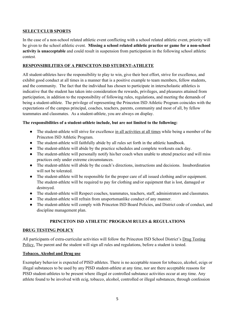#### **SELECT/CLUB SPORTS**

In the case of a non-school related athletic event conflicting with a school related athletic event, priority will be given to the school athletic event. **Missing a school related athletic practice or game for a non-school activity is unacceptable** and could result in suspension from participation in the following school athletic contest.

#### **RESPONSIBILITIES OF A PRINCETON ISD STUDENT-ATHLETE**

All student-athletes have the responsibility to play to win, give their best effort, strive for excellence, and exhibit good conduct at all times in a manner that is a positive example to team members, fellow students, and the community. The fact that the individual has chosen to participate in interscholastic athletics is indicative that the student has taken into consideration the rewards, privileges, and pleasures attained from participation, in addition to the responsibility of following rules, regulations, and meeting the demands of being a student-athlete. The privilege of representing the Princeton ISD Athletic Program coincides with the expectations of the campus principal, coaches, teachers, parents, community and most of all, by fellow teammates and classmates. As a student-athlete, you are always on display.

#### **The responsibilities of a student-athlete include, but are not limited to the following:**

- The student-athlete will strive for excellence in all activities at all times while being a member of the Princeton ISD Athletic Program.
- The student-athlete will faithfully abide by all rules set forth in the athletic handbook.
- The student-athlete will abide by the practice schedules and complete workouts each day.
- The student-athlete will personally notify his/her coach when unable to attend practice and will miss practices only under extreme circumstances.
- The student-athlete will abide by the coach's directions, instructions and decisions. Insubordination will not be tolerated.
- The student-athlete will be responsible for the proper care of all issued clothing and/or equipment. The student-athlete will be required to pay for clothing and/or equipment that is lost, damaged or destroyed.
- The student-athlete will Respect coaches, teammates, teachers, staff, administrators and classmates.
- The student-athlete will refrain from unsportsmanlike conduct of any manner.
- The student-athlete will comply with Princeton ISD Board Policies, and District code of conduct, and discipline management plan.

### **PRINCETON ISD ATHLETIC PROGRAM RULES & REGULATIONS**

#### **DRUG TESTING POLICY**

All participants of extra-curricular activities will follow the Princeton ISD School District's Drug Testing Policy. The parent and the student will sign all rules and regulations, before a student is tested.

#### **Tobacco, Alcohol and Drug use**

Exemplary behavior is expected of PISD athletes. There is no acceptable reason for tobacco, alcohol, ecigs or illegal substances to be used by any PISD student-athlete at any time, nor are there acceptable reasons for PISD student-athletes to be present where illegal or controlled substance activities occur at any time. Any athlete found to be involved with ecig, tobacco, alcohol, controlled or illegal substances, through confession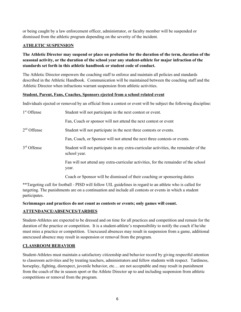or being caught by a law enforcement officer, administrator, or faculty member will be suspended or dismissed from the athletic program depending on the severity of the incident.

#### **ATHLETIC SUSPENSION**

### The Athletic Director may suspend or place on probation for the duration of the term, duration of the **seasonal activity, or the duration of the school year any student-athlete for major infraction of the standards set forth in this athletic handbook or student code of conduct.**

The Athletic Director empowers the coaching staff to enforce and maintain all policies and standards described in the Athletic Handbook. Communication will be maintained between the coaching staff and the Athletic Director when infractions warrant suspension from athletic activities.

#### **Student, Parent, Fans, Coaches, Sponsors ejected from a school related event**

Individuals ejected or removed by an official from a contest or event will be subject the following discipline:

| 1 <sup>st</sup> Offense | Student will not participate in the next contest or event.                                            |
|-------------------------|-------------------------------------------------------------------------------------------------------|
|                         | Fan, Coach or sponsor will not attend the next contest or event                                       |
| $2nd$ Offense           | Student will not participate in the next three contests or events.                                    |
|                         | Fan, Coach, or Sponsor will not attend the next three contests or events.                             |
| $3rd$ Offense           | Student will not participate in any extra-curricular activities, the remainder of the<br>school year. |
|                         | Fan will not attend any extra-curricular activities, for the remainder of the school<br>year.         |
|                         | Coach or Sponsor will be dismissed of their coaching or sponsoring duties                             |

\*\*Targeting call for football - PISD will follow UIL guidelines in regard to an athlete who is called for targeting. The punishments are on a continuation and include all contests or events in which a student participates.

#### **Scrimmages and practices do not count as contests or events; only games will count.**

#### **ATTENDANCE/ABSENCES/TARDIES**

Student-Athletes are expected to be dressed and on time for all practices and competition and remain for the duration of the practice or competition. It is a student-athlete's responsibility to notify the coach if he/she must miss a practice or competition. Unexcused absences may result in suspension from a game, additional unexcused absence may result in suspension or removal from the program.

#### **CLASSROOM BEHAVIOR**

Student-Athletes must maintain a satisfactory citizenship and behavior record by giving respectful attention to classroom activities and by treating teachers, administrators and fellow students with respect. Tardiness, horseplay, fighting, disrespect, juvenile behavior, etc... are not acceptable and may result in punishment from the coach of the in season sport or the Athlete Director up to and including suspension from athletic competitions or removal from the program.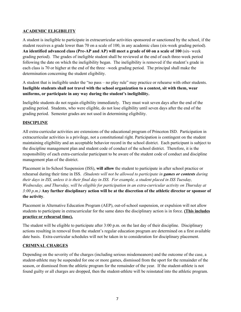#### **ACADEMIC ELIGIBILITY**

A student is ineligible to participate in extracurricular activities sponsored or sanctioned by the school, if the student receives a grade lower than 70 on a scale of 100, in any academic class (six-week grading period). **An identified advanced class (Pre-AP and AP) will meet a grade of 60 on a scale of 100** (six- week grading period). The grades of ineligible student shall be reviewed at the end of each three-week period following the date on which the ineligibility began. The ineligibility is removed if the student's grade in each class is 70 or higher at the end of the three –week grading period. The principal shall make the determination concerning the student eligibility.

A student that is ineligible under the "no pass – no play rule" may practice or rehearse with other students. **Ineligible students shall not travel with the school organization to a contest, sit with them, wear uniforms, or participate in any way during the student's ineligibility.**

Ineligible students do not regain eligibility immediately. They must wait seven days after the end of the grading period. Students, who were eligible, do not lose eligibility until seven days after the end of the grading period. Semester grades are not used in determining eligibility.

#### **DISCIPLINE**

All extra-curricular activities are extensions of the educational program of Princeton ISD. Participation in extracurricular activities is a privilege, not a constitutional right. Participation is contingent on the student maintaining eligibility and an acceptable behavior record in the school district. Each participant is subject to the discipline management plan and student code of conduct of the school district. Therefore, it is the responsibility of each extra-curricular participant to be aware of the student code of conduct and discipline management plan of the district.

Placement in In-School Suspension (ISS), **will allow** the student to participate in after school practice or rehearsal during their time in ISS. *(Students will not be allowed to participate in games or contests during* their days in ISS, unless it is their final day in ISS. For example, a student placed in ISS Tuesday, *Wednesday, and Thursday, will be eligible for participation in an extra-curricular activity on Thursday at*  $3:00 p.m.$ ) Any further disciplinary action will be at the discretion of the athletic director or sponsor of **the activity**.

Placement in Alternative Education Program (AEP), out-of-school suspension, or expulsion will not allow students to participate in extracurricular for the same dates the disciplinary action is in force. **(This includes practice or rehearsal time).**

The student will be eligible to participate after 3:00 p.m. on the last day of their discipline. Disciplinary actions resulting in removal from the student's regular education program are determined on a first available date basis. Extra-curricular schedules will not be taken in to consideration for disciplinary placement.

#### **CRIMINAL CHARGES**

Depending on the severity of the charges (including serious misdemeanors) and the outcome of the case, a student-athlete may be suspended for one or more games, dismissed from the sport for the remainder of the season, or dismissed from the athletic program for the remainder of the year. If the student-athlete is not found guilty or all charges are dropped, then the student-athlete will be reinstated into the athletic program.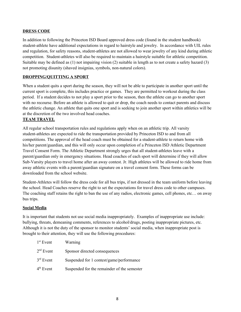#### **DRESS CODE**

In addition to following the Princeton ISD Board approved dress code (found in the student handbook) student-athlete have additional expectations in regard to hairstyle and jewelry. In accordance with UIL rules and regulation, for safety reasons, student-athletes are not allowed to wear jewelry of any kind during athletic competition. Student-athletes will also be required to maintain a hairstyle suitable for athletic competition. Suitable may be defined as (1) not impairing vision (2) suitable in length as to not create a safety hazard (3) not promoting disunity (shaved insignias, symbols, non-natural colors).

#### **DROPPING/QUITTING A SPORT**

When a student quits a sport during the season, they will not be able to participate in another sport until the current sport is complete, this includes practice or games. They are permitted to workout during the class period. If a student decides to not play a sport prior to the season, then the athlete can go to another sport with no recourse. Before an athlete is allowed to quit or drop, the coach needs to contact parents and discuss the athletic change. An athlete that quits one sport and is seeking to join another sport within athletics will be at the discretion of the two involved head coaches.

#### **TEAM TRAVEL**

All regular school transportation rules and regulations apply when on an athletic trip. All varsity student-athletes are expected to ride the transportation provided by Princeton ISD to and from all competitions. The approval of the head coach must be obtained for a student-athlete to return home with his/her parent/guardian, and this will only occur upon completion of a Princeton ISD Athletic Department Travel Consent Form. The Athletic Department strongly urges that all student-athletes leave with a parent/guardian only in emergency situations. Head coaches of each sport will determine if they will allow Sub-Varsity players to travel home after an away contest. Jr. High athletes will be allowed to ride home from away athletic events with a parent/guardian signature on a travel consent form. These forms can be downloaded from the school website.

Student-Athletes will follow the dress code for all bus trips, if not dressed in the team uniform before leaving the school. Head Coaches reserve the right to set the expectations for travel dress code to other campuses. The coaching staff retains the right to ban the use of any radios, electronic games, cell phones, etc… on away bus trips.

#### **Social Media**

It is important that students not use social media inappropriately. Examples of inappropriate use include: bullying, threats, demeaning comments, references to alcohol/drugs, posting inappropriate pictures, etc. Although it is not the duty of the sponsor to monitor students' social media, when inappropriate post is brought to their attention, they will use the following procedures:

| $1st$ Event | Warning                                     |
|-------------|---------------------------------------------|
| $2nd$ Event | Sponsor directed consequences               |
| $3rd$ Event | Suspended for 1 contest/game/performance    |
| $4th$ Event | Suspended for the remainder of the semester |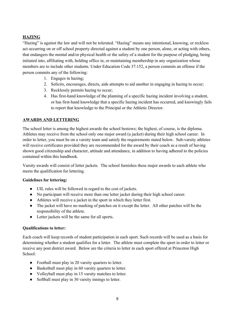#### **HAZING**

"Hazing" is against the law and will not be tolerated. "Hazing" means any intentional, knowing, or reckless act occurring on or off school property directed against a student by one person, alone, or acting with others, that endangers the mental and/or physical health or the safety of a student for the purpose of pledging, being initiated into, affiliating with, holding office in, or maintaining membership in any organization whose members are to include other students. Under Education Code 37.152, a person commits an offense if the person commits any of the following:

- 1. Engages in hazing;
- 2. Solicits, encourages, directs, aids attempts to aid another in engaging in hazing to occur;
- 3. Recklessly permits hazing to occur;
- 4. Has first-hand knowledge of the planning of a specific hazing incident involving a student, or has first-hand knowledge that a specific hazing incident has occurred, and knowingly fails to report that knowledge to the Principal or the Athletic Director.

#### **AWARDS AND LETTERING**

The school letter is among the highest awards the school bestows; the highest, of course, is the diploma. Athletes may receive from the school only one major award (a jacket) during their high school career. In order to letter, you must be on a varsity team and satisfy the requirements stated below. Sub-varsity athletes will receive certificates provided they are recommended for the award by their coach as a result of having shown good citizenship and character, attitude and attendance, in addition to having adhered to the policies contained within this handbook.

Varsity awards will consist of letter jackets. The school furnishes these major awards to each athlete who meets the qualification for lettering.

#### **Guidelines for lettering:**

- UIL rules will be followed in regard to the cost of jackets.
- No participant will receive more than one letter jacket during their high school career.
- Athletes will receive a jacket in the sport in which they letter first.
- The jacket will have no marking of patches on it except the letter. All other patches will be the responsibility of the athlete.
- Letter jackets will be the same for all sports.

#### **Qualifications to letter:**

Each coach will keep records of student participation in each sport. Such records will be used as a basis for determining whether a student qualifies for a letter. The athlete must complete the sport in order to letter or receive any post district award. Below are the criteria to letter in each sport offered at Princeton High School:

- Football must play in 20 varsity quarters to letter.
- Basketball must play in 60 varsity quarters to letter.
- Volleyball must play in 15 varsity matches to letter.
- Softball must play in 30 varsity innings to letter.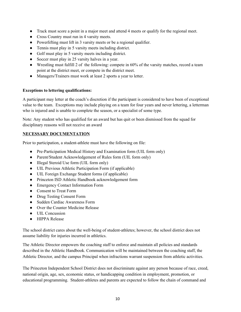- Track must score a point in a major meet and attend 4 meets or qualify for the regional meet.
- Cross Country must run in 4 varsity meets.
- Powerlifting must lift in 3 varsity meets or be a regional qualifier.
- Tennis must play in 5 varsity meets including district.
- Golf must play in 5 varsity meets including district.
- Soccer must play in 25 varsity halves in a year.
- Wrestling must fulfill 2 of the following: compete in 60% of the varsity matches, record a team point at the district meet, or compete in the district meet.
- Managers/Trainers must work at least 2 sports a year to letter.

#### **Exceptions to lettering qualifications:**

A participant may letter at the coach's discretion if the participant is considered to have been of exceptional value to the team. Exceptions may include playing on a team for four years and never lettering, a letterman who is injured and is unable to complete the season, or a specialist of some type.

Note: Any student who has qualified for an award but has quit or been dismissed from the squad for disciplinary reasons will not receive an award

#### **NECESSARY DOCUMENTATION**

Prior to participation, a student-athlete must have the following on file:

- Pre-Participation Medical History and Examination form (UIL form only)
- Parent/Student Acknowledgement of Rules form (UIL form only)
- Illegal Steroid Use form (UIL form only)
- UIL Previous Athletic Participation Form (if applicable)
- UIL Foreign Exchange Student forms (if applicable)
- Princeton ISD Athletic Handbook acknowledgement form
- Emergency Contact Information Form
- Consent to Treat Form
- Drug Testing Consent Form
- Sudden Cardiac Awareness Form
- Over the Counter Medicine Release
- UIL Concussion
- HIPPA Release

The school district cares about the well-being of student-athletes; however, the school district does not assume liability for injuries incurred in athletics.

The Athletic Director empowers the coaching staff to enforce and maintain all policies and standards described in the Athletic Handbook. Communication will be maintained between the coaching staff, the Athletic Director, and the campus Principal when infractions warrant suspension from athletic activities.

The Princeton Independent School District does not discriminate against any person because of race, creed, national origin, age, sex, economic status, or handicapping condition in employment, promotion, or educational programming. Student-athletes and parents are expected to follow the chain of command and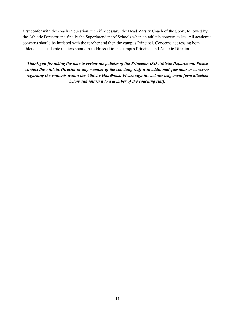first confer with the coach in question, then if necessary, the Head Varsity Coach of the Sport, followed by the Athletic Director and finally the Superintendent of Schools when an athletic concern exists. All academic concerns should be initiated with the teacher and then the campus Principal. Concerns addressing both athletic and academic matters should be addressed to the campus Principal and Athletic Director.

*Thank you for taking the time to review the policies of the Princeton ISD Athletic Department. Please contact the Athletic Director or any member of the coaching staf with additional questions or concerns regarding the contents within the Athletic Handbook. Please sign the acknowledgement form attached below and return it to a member of the coaching staf .*